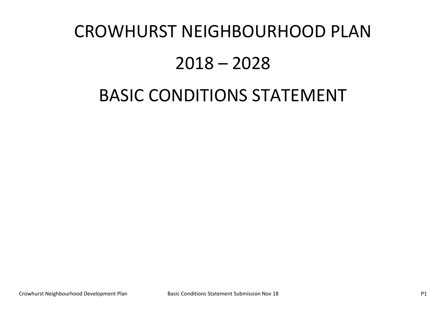# CROWHURST NEIGHBOURHOOD PLAN

# 2018 – 2028

# BASIC CONDITIONS STATEMENT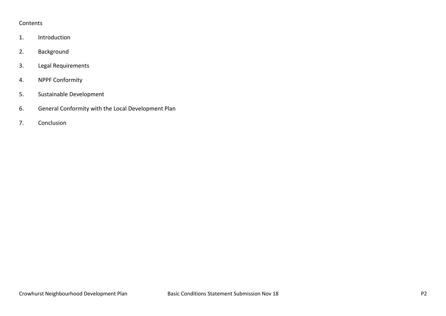#### Contents

- 1. Introduction
- 2. Background
- 3. Legal Requirements
- 4. NPPF Conformity
- 5. Sustainable Development
- 6. General Conformity with the Local Development Plan
- 7. Conclusion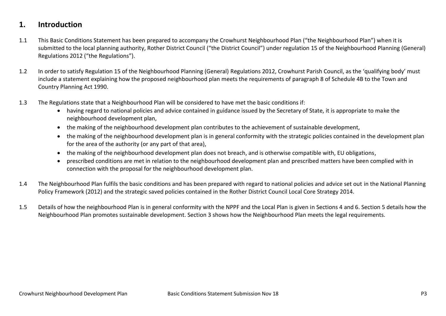### **1. Introduction**

- 1.1 This Basic Conditions Statement has been prepared to accompany the Crowhurst Neighbourhood Plan ("the Neighbourhood Plan") when it is submitted to the local planning authority, Rother District Council ("the District Council") under regulation 15 of the Neighbourhood Planning (General) Regulations 2012 ("the Regulations").
- 1.2 In order to satisfy Regulation 15 of the Neighbourhood Planning (General) Regulations 2012, Crowhurst Parish Council, as the 'qualifying body' must include a statement explaining how the proposed neighbourhood plan meets the requirements of paragraph 8 of Schedule 4B to the Town and Country Planning Act 1990.
- 1.3 The Regulations state that a Neighbourhood Plan will be considered to have met the basic conditions if:
	- having regard to national policies and advice contained in guidance issued by the Secretary of State, it is appropriate to make the neighbourhood development plan,
	- the making of the neighbourhood development plan contributes to the achievement of sustainable development,
	- the making of the neighbourhood development plan is in general conformity with the strategic policies contained in the development plan for the area of the authority (or any part of that area),
	- the making of the neighbourhood development plan does not breach, and is otherwise compatible with, EU obligations,
	- prescribed conditions are met in relation to the neighbourhood development plan and prescribed matters have been complied with in connection with the proposal for the neighbourhood development plan.
- 1.4 The Neighbourhood Plan fulfils the basic conditions and has been prepared with regard to national policies and advice set out in the National Planning Policy Framework (2012) and the strategic saved policies contained in the Rother District Council Local Core Strategy 2014.
- 1.5 Details of how the neighbourhood Plan is in general conformity with the NPPF and the Local Plan is given in Sections 4 and 6. Section 5 details how the Neighbourhood Plan promotes sustainable development. Section 3 shows how the Neighbourhood Plan meets the legal requirements.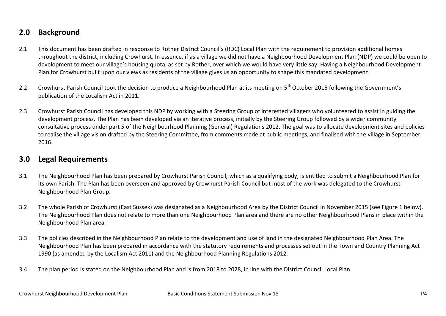### **2.0 Background**

- 2.1 This document has been drafted in response to Rother District Council's (RDC) Local Plan with the requirement to provision additional homes throughout the district, including Crowhurst. In essence, if as a village we did not have a Neighbourhood Development Plan (NDP) we could be open to development to meet our village's housing quota, as set by Rother, over which we would have very little say. Having a Neighbourhood Development Plan for Crowhurst built upon our views as residents of the village gives us an opportunity to shape this mandated development.
- 2.2 Crowhurst Parish Council took the decision to produce a Neighbourhood Plan at its meeting on 5<sup>th</sup> October 2015 following the Government's publication of the Localism Act in 2011.
- 2.3 Crowhurst Parish Council has developed this NDP by working with a Steering Group of interested villagers who volunteered to assist in guiding the development process. The Plan has been developed via an iterative process, initially by the Steering Group followed by a wider community consultative process under part 5 of the Neighbourhood Planning (General) Regulations 2012. The goal was to allocate development sites and policies to realise the village vision drafted by the Steering Committee, from comments made at public meetings, and finalised with the village in September 2016.

#### **3.0 Legal Requirements**

- 3.1 The Neighbourhood Plan has been prepared by Crowhurst Parish Council, which as a qualifying body, is entitled to submit a Neighbourhood Plan for its own Parish. The Plan has been overseen and approved by Crowhurst Parish Council but most of the work was delegated to the Crowhurst Neighbourhood Plan Group.
- 3.2 The whole Parish of Crowhurst (East Sussex) was designated as a Neighbourhood Area by the District Council in November 2015 (see Figure 1 below). The Neighbourhood Plan does not relate to more than one Neighbourhood Plan area and there are no other Neighbourhood Plans in place within the Neighbourhood Plan area.
- 3.3 The policies described in the Neighbourhood Plan relate to the development and use of land in the designated Neighbourhood Plan Area. The Neighbourhood Plan has been prepared in accordance with the statutory requirements and processes set out in the Town and Country Planning Act 1990 (as amended by the Localism Act 2011) and the Neighbourhood Planning Regulations 2012.
- 3.4 The plan period is stated on the Neighbourhood Plan and is from 2018 to 2028, in line with the District Council Local Plan.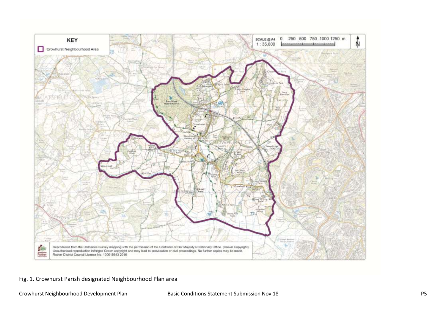

Fig. 1. Crowhurst Parish designated Neighbourhood Plan area

Crowhurst Neighbourhood Development Plan Basic Conditions Statement Submission Nov 18 P5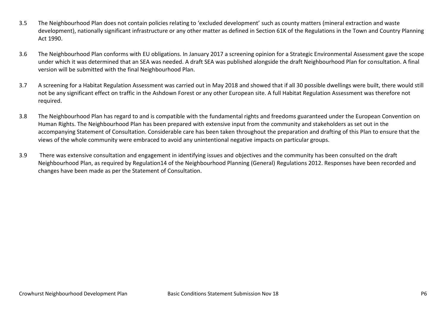- 3.5 The Neighbourhood Plan does not contain policies relating to 'excluded development' such as county matters (mineral extraction and waste development), nationally significant infrastructure or any other matter as defined in Section 61K of the Regulations in the Town and Country Planning Act 1990.
- 3.6 The Neighbourhood Plan conforms with EU obligations. In January 2017 a screening opinion for a Strategic Environmental Assessment gave the scope under which it was determined that an SEA was needed. A draft SEA was published alongside the draft Neighbourhood Plan for consultation. A final version will be submitted with the final Neighbourhood Plan.
- 3.7 A screening for a Habitat Regulation Assessment was carried out in May 2018 and showed that if all 30 possible dwellings were built, there would still not be any significant effect on traffic in the Ashdown Forest or any other European site. A full Habitat Regulation Assessment was therefore not required.
- 3.8 The Neighbourhood Plan has regard to and is compatible with the fundamental rights and freedoms guaranteed under the European Convention on Human Rights. The Neighbourhood Plan has been prepared with extensive input from the community and stakeholders as set out in the accompanying Statement of Consultation. Considerable care has been taken throughout the preparation and drafting of this Plan to ensure that the views of the whole community were embraced to avoid any unintentional negative impacts on particular groups.
- 3.9 There was extensive consultation and engagement in identifying issues and objectives and the community has been consulted on the draft Neighbourhood Plan, as required by Regulation14 of the Neighbourhood Planning (General) Regulations 2012. Responses have been recorded and changes have been made as per the Statement of Consultation.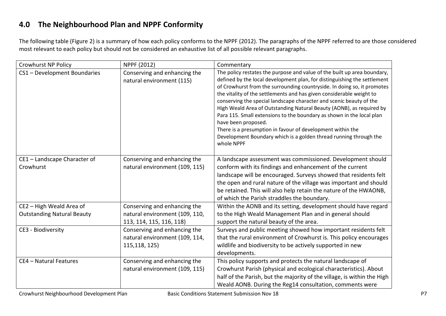# **4.0 The Neighbourhood Plan and NPPF Conformity**

The following table (Figure 2) is a summary of how each policy conforms to the NPPF (2012). The paragraphs of the NPPF referred to are those considered most relevant to each policy but should not be considered an exhaustive list of all possible relevant paragraphs.

| <b>Crowhurst NP Policy</b>                | NPPF (2012)                                                                     | Commentary                                                                                                                                                                                                                                                                                                                                                                                                                                                                                                                                                                                                                                                                                              |  |  |
|-------------------------------------------|---------------------------------------------------------------------------------|---------------------------------------------------------------------------------------------------------------------------------------------------------------------------------------------------------------------------------------------------------------------------------------------------------------------------------------------------------------------------------------------------------------------------------------------------------------------------------------------------------------------------------------------------------------------------------------------------------------------------------------------------------------------------------------------------------|--|--|
| CS1 - Development Boundaries              | Conserving and enhancing the<br>natural environment (115)                       | The policy restates the purpose and value of the built up area boundary,<br>defined by the local development plan, for distinguishing the settlement<br>of Crowhurst from the surrounding countryside. In doing so, it promotes<br>the vitality of the settlements and has given considerable weight to<br>conserving the special landscape character and scenic beauty of the<br>High Weald Area of Outstanding Natural Beauty (AONB), as required by<br>Para 115. Small extensions to the boundary as shown in the local plan<br>have been proposed.<br>There is a presumption in favour of development within the<br>Development Boundary which is a golden thread running through the<br>whole NPPF |  |  |
| CE1 - Landscape Character of<br>Crowhurst | Conserving and enhancing the<br>natural environment (109, 115)                  | A landscape assessment was commissioned. Development should<br>conform with its findings and enhancement of the current<br>landscape will be encouraged. Surveys showed that residents felt<br>the open and rural nature of the village was important and should<br>be retained. This will also help retain the nature of the HWAONB,<br>of which the Parish straddles the boundary.                                                                                                                                                                                                                                                                                                                    |  |  |
| CE2 - High Weald Area of                  | Conserving and enhancing the                                                    | Within the AONB and its setting, development should have regard                                                                                                                                                                                                                                                                                                                                                                                                                                                                                                                                                                                                                                         |  |  |
| <b>Outstanding Natural Beauty</b>         | natural environment (109, 110,<br>113, 114, 115, 116, 118)                      | to the High Weald Management Plan and in general should<br>support the natural beauty of the area.                                                                                                                                                                                                                                                                                                                                                                                                                                                                                                                                                                                                      |  |  |
| CE3 - Biodiversity                        | Conserving and enhancing the<br>natural environment (109, 114,<br>115,118, 125) | Surveys and public meeting showed how important residents felt<br>that the rural environment of Crowhurst is. This policy encourages<br>wildlife and biodiversity to be actively supported in new<br>developments.                                                                                                                                                                                                                                                                                                                                                                                                                                                                                      |  |  |
| CE4 - Natural Features                    | Conserving and enhancing the<br>natural environment (109, 115)                  | This policy supports and protects the natural landscape of<br>Crowhurst Parish (physical and ecological characteristics). About<br>half of the Parish, but the majority of the village, is within the High<br>Weald AONB. During the Reg14 consultation, comments were                                                                                                                                                                                                                                                                                                                                                                                                                                  |  |  |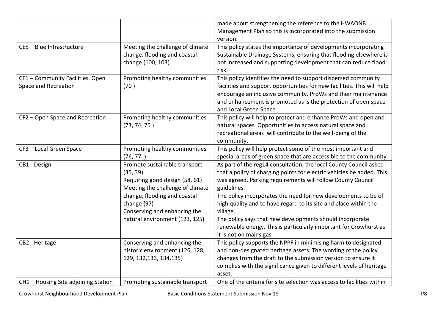|                                                          |                                                                                                                                                                                                                                  | made about strengthening the reference to the HWAONB<br>Management Plan so this is incorporated into the submission<br>version.                                                                                                                                                                                                                                                                                                                                                                                                        |
|----------------------------------------------------------|----------------------------------------------------------------------------------------------------------------------------------------------------------------------------------------------------------------------------------|----------------------------------------------------------------------------------------------------------------------------------------------------------------------------------------------------------------------------------------------------------------------------------------------------------------------------------------------------------------------------------------------------------------------------------------------------------------------------------------------------------------------------------------|
| CE5 - Blue Infrastructure                                | Meeting the challenge of climate<br>change, flooding and coastal<br>change (100, 103)                                                                                                                                            | This policy states the importance of developments incorporating<br>Sustainable Drainage Systems, ensuring that flooding elsewhere is<br>not increased and supporting development that can reduce flood<br>risk.                                                                                                                                                                                                                                                                                                                        |
| CF1 - Community Facilities, Open<br>Space and Recreation | Promoting healthy communities<br>(70)                                                                                                                                                                                            | This policy identifies the need to support dispersed community<br>facilities and support opportunities for new facilities. This will help<br>encourage an inclusive community. ProWs and their maintenance<br>and enhancement is promoted as is the protection of open space<br>and Local Green Space.                                                                                                                                                                                                                                 |
| CF2 - Open Space and Recreation                          | Promoting healthy communities<br>(73, 74, 75)                                                                                                                                                                                    | This policy will help to protect and enhance ProWs and open and<br>natural spaces. Opportunities to access natural space and<br>recreational areas will contribute to the well-being of the<br>community.                                                                                                                                                                                                                                                                                                                              |
| CF3 - Local Green Space                                  | Promoting healthy communities<br>(76, 77)                                                                                                                                                                                        | This policy will help protect some of the most important and<br>special areas of green space that are accessible to the community.                                                                                                                                                                                                                                                                                                                                                                                                     |
| CB1 - Design                                             | Promote sustainable transport<br>(35, 39)<br>Requiring good design (58, 61)<br>Meeting the challenge of climate<br>change, flooding and coastal<br>change (97)<br>Conserving and enhancing the<br>natural environment (123, 125) | As part of the reg14 consultation, the local County Council asked<br>that a policy of charging points for electric vehicles be added. This<br>was agreed. Parking requirements will follow County Council<br>guidelines.<br>The policy incorporates the need for new developments to be of<br>high quality and to have regard to its site and place within the<br>village.<br>The policy says that new developments should incorporate<br>renewable energy. This is particularly important for Crowhurst as<br>it is not on mains gas. |
| CB2 - Heritage                                           | Conserving and enhancing the<br>historic environment (126, 128,<br>129, 132, 133, 134, 135)                                                                                                                                      | This policy supports the NPPF in minimising harm to designated<br>and non-designated heritage assets. The wording of the policy<br>changes from the draft to the submission version to ensure it<br>complies with the significance given to different levels of heritage<br>asset.                                                                                                                                                                                                                                                     |
| CH1 - Housing Site adjoining Station                     | Promoting sustainable transport                                                                                                                                                                                                  | One of the criteria for site selection was access to facilities within                                                                                                                                                                                                                                                                                                                                                                                                                                                                 |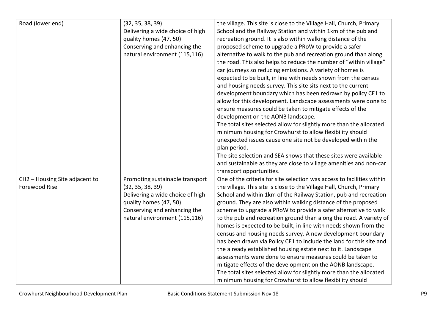| Road (lower end)               | (32, 35, 38, 39)                 | the village. This site is close to the Village Hall, Church, Primary   |
|--------------------------------|----------------------------------|------------------------------------------------------------------------|
|                                | Delivering a wide choice of high | School and the Railway Station and within 1km of the pub and           |
|                                | quality homes (47, 50)           | recreation ground. It is also within walking distance of the           |
|                                | Conserving and enhancing the     | proposed scheme to upgrade a PRoW to provide a safer                   |
|                                | natural environment (115,116)    | alternative to walk to the pub and recreation ground than along        |
|                                |                                  | the road. This also helps to reduce the number of "within village"     |
|                                |                                  | car journeys so reducing emissions. A variety of homes is              |
|                                |                                  | expected to be built, in line with needs shown from the census         |
|                                |                                  | and housing needs survey. This site sits next to the current           |
|                                |                                  | development boundary which has been redrawn by policy CE1 to           |
|                                |                                  | allow for this development. Landscape assessments were done to         |
|                                |                                  | ensure measures could be taken to mitigate effects of the              |
|                                |                                  | development on the AONB landscape.                                     |
|                                |                                  | The total sites selected allow for slightly more than the allocated    |
|                                |                                  | minimum housing for Crowhurst to allow flexibility should              |
|                                |                                  | unexpected issues cause one site not be developed within the           |
|                                |                                  | plan period.                                                           |
|                                |                                  | The site selection and SEA shows that these sites were available       |
|                                |                                  | and sustainable as they are close to village amenities and non-car     |
|                                |                                  | transport opportunities.                                               |
| CH2 - Housing Site adjacent to | Promoting sustainable transport  | One of the criteria for site selection was access to facilities within |
| Forewood Rise                  | (32, 35, 38, 39)                 | the village. This site is close to the Village Hall, Church, Primary   |
|                                | Delivering a wide choice of high | School and within 1km of the Railway Station, pub and recreation       |
|                                | quality homes (47, 50)           | ground. They are also within walking distance of the proposed          |
|                                | Conserving and enhancing the     | scheme to upgrade a PRoW to provide a safer alternative to walk        |
|                                | natural environment (115,116)    | to the pub and recreation ground than along the road. A variety of     |
|                                |                                  | homes is expected to be built, in line with needs shown from the       |
|                                |                                  | census and housing needs survey. A new development boundary            |
|                                |                                  | has been drawn via Policy CE1 to include the land for this site and    |
|                                |                                  | the already established housing estate next to it. Landscape           |
|                                |                                  | assessments were done to ensure measures could be taken to             |
|                                |                                  | mitigate effects of the development on the AONB landscape.             |
|                                |                                  | The total sites selected allow for slightly more than the allocated    |
|                                |                                  | minimum housing for Crowhurst to allow flexibility should              |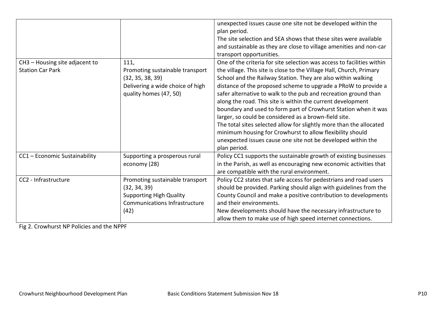|                                |                                                                                                                   | unexpected issues cause one site not be developed within the<br>plan period.<br>The site selection and SEA shows that these sites were available<br>and sustainable as they are close to village amenities and non-car<br>transport opportunities.                                                                                                                                                                                                                                                                                                                                                                                                                                       |
|--------------------------------|-------------------------------------------------------------------------------------------------------------------|------------------------------------------------------------------------------------------------------------------------------------------------------------------------------------------------------------------------------------------------------------------------------------------------------------------------------------------------------------------------------------------------------------------------------------------------------------------------------------------------------------------------------------------------------------------------------------------------------------------------------------------------------------------------------------------|
| CH3 - Housing site adjacent to | 111,                                                                                                              | One of the criteria for site selection was access to facilities within                                                                                                                                                                                                                                                                                                                                                                                                                                                                                                                                                                                                                   |
| <b>Station Car Park</b>        | Promoting sustainable transport<br>(32, 35, 38, 39)<br>Delivering a wide choice of high<br>quality homes (47, 50) | the village. This site is close to the Village Hall, Church, Primary<br>School and the Railway Station. They are also within walking<br>distance of the proposed scheme to upgrade a PRoW to provide a<br>safer alternative to walk to the pub and recreation ground than<br>along the road. This site is within the current development<br>boundary and used to form part of Crowhurst Station when it was<br>larger, so could be considered as a brown-field site.<br>The total sites selected allow for slightly more than the allocated<br>minimum housing for Crowhurst to allow flexibility should<br>unexpected issues cause one site not be developed within the<br>plan period. |
| CC1 - Economic Sustainability  | Supporting a prosperous rural<br>economy (28)                                                                     | Policy CC1 supports the sustainable growth of existing businesses<br>in the Parish, as well as encouraging new economic activities that<br>are compatible with the rural environment.                                                                                                                                                                                                                                                                                                                                                                                                                                                                                                    |
| CC2 - Infrastructure           | Promoting sustainable transport                                                                                   | Policy CC2 states that safe access for pedestrians and road users                                                                                                                                                                                                                                                                                                                                                                                                                                                                                                                                                                                                                        |
|                                | (32, 34, 39)                                                                                                      | should be provided. Parking should align with guidelines from the                                                                                                                                                                                                                                                                                                                                                                                                                                                                                                                                                                                                                        |
|                                | <b>Supporting High Quality</b>                                                                                    | County Council and make a positive contribution to developments                                                                                                                                                                                                                                                                                                                                                                                                                                                                                                                                                                                                                          |
|                                | <b>Communications Infrastructure</b>                                                                              | and their environments.                                                                                                                                                                                                                                                                                                                                                                                                                                                                                                                                                                                                                                                                  |
|                                | (42)                                                                                                              | New developments should have the necessary infrastructure to                                                                                                                                                                                                                                                                                                                                                                                                                                                                                                                                                                                                                             |
|                                |                                                                                                                   | allow them to make use of high speed internet connections.                                                                                                                                                                                                                                                                                                                                                                                                                                                                                                                                                                                                                               |

Fig 2. Crowhurst NP Policies and the NPPF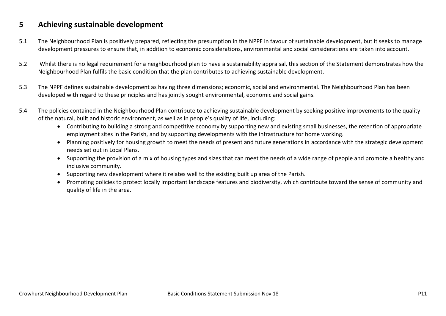#### **5 Achieving sustainable development**

- 5.1 The Neighbourhood Plan is positively prepared, reflecting the presumption in the NPPF in favour of sustainable development, but it seeks to manage development pressures to ensure that, in addition to economic considerations, environmental and social considerations are taken into account.
- 5.2 Whilst there is no legal requirement for a neighbourhood plan to have a sustainability appraisal, this section of the Statement demonstrates how the Neighbourhood Plan fulfils the basic condition that the plan contributes to achieving sustainable development.
- 5.3 The NPPF defines sustainable development as having three dimensions; economic, social and environmental. The Neighbourhood Plan has been developed with regard to these principles and has jointly sought environmental, economic and social gains.
- 5.4 The policies contained in the Neighbourhood Plan contribute to achieving sustainable development by seeking positive improvements to the quality of the natural, built and historic environment, as well as in people's quality of life, including:
	- Contributing to building a strong and competitive economy by supporting new and existing small businesses, the retention of appropriate employment sites in the Parish, and by supporting developments with the infrastructure for home working.
	- Planning positively for housing growth to meet the needs of present and future generations in accordance with the strategic development needs set out in Local Plans.
	- Supporting the provision of a mix of housing types and sizes that can meet the needs of a wide range of people and promote a healthy and inclusive community.
	- Supporting new development where it relates well to the existing built up area of the Parish.
	- Promoting policies to protect locally important landscape features and biodiversity, which contribute toward the sense of community and quality of life in the area.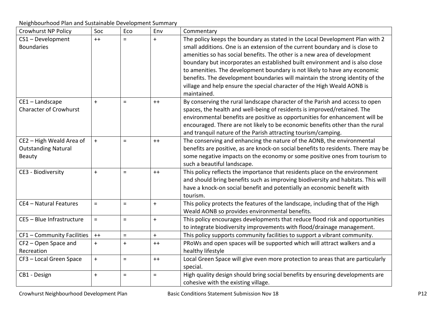Neighbourhood Plan and Sustainable Development Summary

| <b>Crowhurst NP Policy</b>                                       | Soc        | Eco      | Env      | Commentary                                                                                                                                                                                                                                                                                                                                                                                                                                                                                                                                                                       |
|------------------------------------------------------------------|------------|----------|----------|----------------------------------------------------------------------------------------------------------------------------------------------------------------------------------------------------------------------------------------------------------------------------------------------------------------------------------------------------------------------------------------------------------------------------------------------------------------------------------------------------------------------------------------------------------------------------------|
| CS1-Development<br><b>Boundaries</b>                             | $++$       | $=$      | $+$      | The policy keeps the boundary as stated in the Local Development Plan with 2<br>small additions. One is an extension of the current boundary and is close to<br>amenities so has social benefits. The other is a new area of development<br>boundary but incorporates an established built environment and is also close<br>to amenities. The development boundary is not likely to have any economic<br>benefits. The development boundaries will maintain the strong identity of the<br>village and help ensure the special character of the High Weald AONB is<br>maintained. |
| CE1-Landscape<br><b>Character of Crowhurst</b>                   | $+$        | $=$      | $++$     | By conserving the rural landscape character of the Parish and access to open<br>spaces, the health and well-being of residents is improved/retained. The<br>environmental benefits are positive as opportunities for enhancement will be<br>encouraged. There are not likely to be economic benefits other than the rural<br>and tranquil nature of the Parish attracting tourism/camping.                                                                                                                                                                                       |
| CE2 - High Weald Area of<br><b>Outstanding Natural</b><br>Beauty | $\pm$      | $=$      | $++$     | The conserving and enhancing the nature of the AONB, the environmental<br>benefits are positive, as are knock-on social benefits to residents. There may be<br>some negative impacts on the economy or some positive ones from tourism to<br>such a beautiful landscape.                                                                                                                                                                                                                                                                                                         |
| CE3 - Biodiversity                                               | $+$        | $=$      | $++$     | This policy reflects the importance that residents place on the environment<br>and should bring benefits such as improving biodiversity and habitats. This will<br>have a knock-on social benefit and potentially an economic benefit with<br>tourism.                                                                                                                                                                                                                                                                                                                           |
| CE4 - Natural Features                                           | $=$        | $=$      | $\pm$    | This policy protects the features of the landscape, including that of the High<br>Weald AONB so provides environmental benefits.                                                                                                                                                                                                                                                                                                                                                                                                                                                 |
| CE5 - Blue Infrastructure                                        | $\equiv$   | $=$      | $\pm$    | This policy encourages developments that reduce flood risk and opportunities<br>to integrate biodiversity improvements with flood/drainage management.                                                                                                                                                                                                                                                                                                                                                                                                                           |
| CF1 - Community Facilities                                       | $++$       | $=$      | $+$      | This policy supports community facilities to support a vibrant community.                                                                                                                                                                                                                                                                                                                                                                                                                                                                                                        |
| CF2 - Open Space and<br>Recreation                               | $\ddagger$ | $+$      | $++$     | PRoWs and open spaces will be supported which will attract walkers and a<br>healthy lifestyle                                                                                                                                                                                                                                                                                                                                                                                                                                                                                    |
| CF3 - Local Green Space                                          | $+$        | $\equiv$ | $++$     | Local Green Space will give even more protection to areas that are particularly<br>special.                                                                                                                                                                                                                                                                                                                                                                                                                                                                                      |
| CB1 - Design                                                     | $\ddot{}$  | $\equiv$ | $\equiv$ | High quality design should bring social benefits by ensuring developments are<br>cohesive with the existing village.                                                                                                                                                                                                                                                                                                                                                                                                                                                             |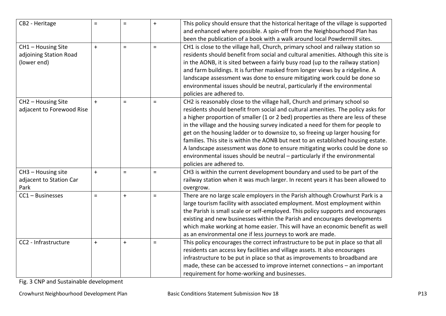| CB2 - Heritage            | $=$       | $=$      | $\pm$    | This policy should ensure that the historical heritage of the village is supported |
|---------------------------|-----------|----------|----------|------------------------------------------------------------------------------------|
|                           |           |          |          | and enhanced where possible. A spin-off from the Neighbourhood Plan has            |
|                           |           |          |          | been the publication of a book with a walk around local Powdermill sites.          |
| CH1 - Housing Site        | $\ddot{}$ | $\equiv$ | $\equiv$ | CH1 is close to the village hall, Church, primary school and railway station so    |
| adjoining Station Road    |           |          |          | residents should benefit from social and cultural amenities. Although this site is |
| (lower end)               |           |          |          | in the AONB, it is sited between a fairly busy road (up to the railway station)    |
|                           |           |          |          | and farm buildings. It is further masked from longer views by a ridgeline. A       |
|                           |           |          |          | landscape assessment was done to ensure mitigating work could be done so           |
|                           |           |          |          | environmental issues should be neutral, particularly if the environmental          |
|                           |           |          |          | policies are adhered to.                                                           |
| CH2 - Housing Site        | $\pm$     | $=$      | $\equiv$ | CH2 is reasonably close to the village hall, Church and primary school so          |
| adjacent to Forewood Rise |           |          |          | residents should benefit from social and cultural amenities. The policy asks for   |
|                           |           |          |          | a higher proportion of smaller (1 or 2 bed) properties as there are less of these  |
|                           |           |          |          | in the village and the housing survey indicated a need for them for people to      |
|                           |           |          |          | get on the housing ladder or to downsize to, so freeing up larger housing for      |
|                           |           |          |          | families. This site is within the AONB but next to an established housing estate.  |
|                           |           |          |          | A landscape assessment was done to ensure mitigating works could be done so        |
|                           |           |          |          | environmental issues should be neutral - particularly if the environmental         |
|                           |           |          |          | policies are adhered to.                                                           |
| CH3 - Housing site        | $+$       | $\equiv$ | $\equiv$ | CH3 is within the current development boundary and used to be part of the          |
| adjacent to Station Car   |           |          |          | railway station when it was much larger. In recent years it has been allowed to    |
| Park                      |           |          |          | overgrow.                                                                          |
| CC1 - Businesses          | $\equiv$  | $+$      | $\equiv$ | There are no large scale employers in the Parish although Crowhurst Park is a      |
|                           |           |          |          | large tourism facility with associated employment. Most employment within          |
|                           |           |          |          | the Parish is small scale or self-employed. This policy supports and encourages    |
|                           |           |          |          | existing and new businesses within the Parish and encourages developments          |
|                           |           |          |          | which make working at home easier. This will have an economic benefit as well      |
|                           |           |          |          | as an environmental one if less journeys to work are made.                         |
| CC2 - Infrastructure      | $+$       | $+$      | $\equiv$ | This policy encourages the correct infrastructure to be put in place so that all   |
|                           |           |          |          | residents can access key facilities and village assets. It also encourages         |
|                           |           |          |          | infrastructure to be put in place so that as improvements to broadband are         |
|                           |           |          |          | made, these can be accessed to improve internet connections - an important         |
|                           |           |          |          | requirement for home-working and businesses.                                       |

Fig. 3 CNP and Sustainable development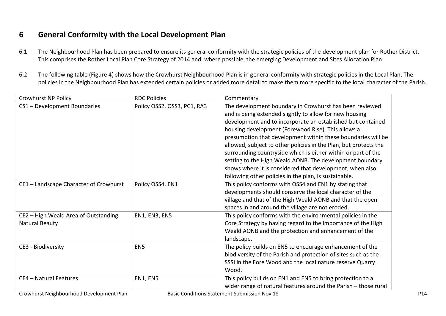# **6 General Conformity with the Local Development Plan**

- 6.1 The Neighbourhood Plan has been prepared to ensure its general conformity with the strategic policies of the development plan for Rother District. This comprises the Rother Local Plan Core Strategy of 2014 and, where possible, the emerging Development and Sites Allocation Plan.
- 6.2 The following table (Figure 4) shows how the Crowhurst Neighbourhood Plan is in general conformity with strategic policies in the Local Plan. The policies in the Neighbourhood Plan has extended certain policies or added more detail to make them more specific to the local character of the Parish.

| Crowhurst NP Policy                      | <b>RDC Policies</b>         | Commentary                                                       |
|------------------------------------------|-----------------------------|------------------------------------------------------------------|
| CS1 - Development Boundaries             | Policy OSS2, OSS3, PC1, RA3 | The development boundary in Crowhurst has been reviewed          |
|                                          |                             | and is being extended slightly to allow for new housing          |
|                                          |                             | development and to incorporate an established but contained      |
|                                          |                             | housing development (Forewood Rise). This allows a               |
|                                          |                             | presumption that development within these boundaries will be     |
|                                          |                             | allowed, subject to other policies in the Plan, but protects the |
|                                          |                             | surrounding countryside which is either within or part of the    |
|                                          |                             | setting to the High Weald AONB. The development boundary         |
|                                          |                             | shows where it is considered that development, when also         |
|                                          |                             | following other policies in the plan, is sustainable.            |
| CE1 - Landscape Character of Crowhurst   | Policy OSS4, EN1            | This policy conforms with OSS4 and EN1 by stating that           |
|                                          |                             | developments should conserve the local character of the          |
|                                          |                             | village and that of the High Weald AONB and that the open        |
|                                          |                             | spaces in and around the village are not eroded.                 |
| CE2 - High Weald Area of Outstanding     | <b>EN1, EN3, EN5</b>        | This policy conforms with the environmental policies in the      |
| Natural Beauty                           |                             | Core Strategy by having regard to the importance of the High     |
|                                          |                             | Weald AONB and the protection and enhancement of the             |
|                                          |                             | landscape.                                                       |
| CE3 - Biodiversity                       | EN <sub>5</sub>             | The policy builds on EN5 to encourage enhancement of the         |
|                                          |                             | biodiversity of the Parish and protection of sites such as the   |
|                                          |                             | SSSI in the Fore Wood and the local nature reserve Quarry        |
|                                          |                             | Wood.                                                            |
| CE4 - Natural Features                   | EN1, EN5                    | This policy builds on EN1 and EN5 to bring protection to a       |
|                                          |                             | wider range of natural features around the Parish - those rural  |
| Crowhurst Neighbourhood Development Plan |                             | <b>Basic Conditions Statement Submission Nov 18</b>              |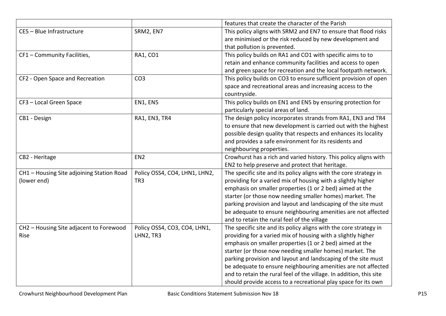|                                           |                               | features that create the character of the Parish                    |
|-------------------------------------------|-------------------------------|---------------------------------------------------------------------|
| CE5 - Blue Infrastructure                 | SRM2, EN7                     | This policy aligns with SRM2 and EN7 to ensure that flood risks     |
|                                           |                               | are minimised or the risk reduced by new development and            |
|                                           |                               | that pollution is prevented.                                        |
| CF1 - Community Facilities,               | RA1, CO1                      | This policy builds on RA1 and CO1 with specific aims to to          |
|                                           |                               | retain and enhance community facilities and access to open          |
|                                           |                               | and green space for recreation and the local footpath network.      |
| CF2 - Open Space and Recreation           | CO <sub>3</sub>               | This policy builds on CO3 to ensure sufficient provision of open    |
|                                           |                               | space and recreational areas and increasing access to the           |
|                                           |                               | countryside.                                                        |
| CF3 - Local Green Space                   | EN1, EN5                      | This policy builds on EN1 and EN5 by ensuring protection for        |
|                                           |                               | particularly special areas of land.                                 |
| CB1 - Design                              | RA1, EN3, TR4                 | The design policy incorporates strands from RA1, EN3 and TR4        |
|                                           |                               | to ensure that new development is carried out with the highest      |
|                                           |                               | possible design quality that respects and enhances its locality     |
|                                           |                               | and provides a safe environment for its residents and               |
|                                           |                               | neighbouring properties.                                            |
| CB2 - Heritage                            | EN <sub>2</sub>               | Crowhurst has a rich and varied history. This policy aligns with    |
|                                           |                               | EN2 to help preserve and protect that heritage.                     |
| CH1 - Housing Site adjoining Station Road | Policy OSS4, CO4, LHN1, LHN2, | The specific site and its policy aligns with the core strategy in   |
| (lower end)                               | TR <sub>3</sub>               | providing for a varied mix of housing with a slightly higher        |
|                                           |                               | emphasis on smaller properties (1 or 2 bed) aimed at the            |
|                                           |                               | starter (or those now needing smaller homes) market. The            |
|                                           |                               | parking provision and layout and landscaping of the site must       |
|                                           |                               | be adequate to ensure neighbouring amenities are not affected       |
|                                           |                               | and to retain the rural feel of the village                         |
| CH2 - Housing Site adjacent to Forewood   | Policy OSS4, CO3, CO4, LHN1,  | The specific site and its policy aligns with the core strategy in   |
| Rise                                      | LHN2, TR3                     | providing for a varied mix of housing with a slightly higher        |
|                                           |                               | emphasis on smaller properties (1 or 2 bed) aimed at the            |
|                                           |                               | starter (or those now needing smaller homes) market. The            |
|                                           |                               | parking provision and layout and landscaping of the site must       |
|                                           |                               | be adequate to ensure neighbouring amenities are not affected       |
|                                           |                               | and to retain the rural feel of the village. In addition, this site |
|                                           |                               | should provide access to a recreational play space for its own      |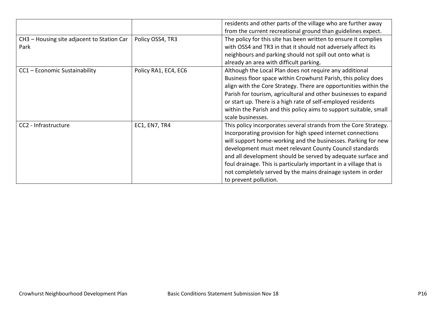|                                                    |                      | residents and other parts of the village who are further away<br>from the current recreational ground than guidelines expect.                                                                                                                                                                                                                                                                                                                                                             |
|----------------------------------------------------|----------------------|-------------------------------------------------------------------------------------------------------------------------------------------------------------------------------------------------------------------------------------------------------------------------------------------------------------------------------------------------------------------------------------------------------------------------------------------------------------------------------------------|
| CH3 - Housing site adjacent to Station Car<br>Park | Policy OSS4, TR3     | The policy for this site has been written to ensure it complies<br>with OSS4 and TR3 in that it should not adversely affect its<br>neighbours and parking should not spill out onto what is<br>already an area with difficult parking.                                                                                                                                                                                                                                                    |
| CC1 - Economic Sustainability                      | Policy RA1, EC4, EC6 | Although the Local Plan does not require any additional<br>Business floor space within Crowhurst Parish, this policy does<br>align with the Core Strategy. There are opportunities within the<br>Parish for tourism, agricultural and other businesses to expand<br>or start up. There is a high rate of self-employed residents<br>within the Parish and this policy aims to support suitable, small<br>scale businesses.                                                                |
| CC2 - Infrastructure                               | EC1, EN7, TR4        | This policy incorporates several strands from the Core Strategy.<br>Incorporating provision for high speed internet connections<br>will support home-working and the businesses. Parking for new<br>development must meet relevant County Council standards<br>and all development should be served by adequate surface and<br>foul drainage. This is particularly important in a village that is<br>not completely served by the mains drainage system in order<br>to prevent pollution. |